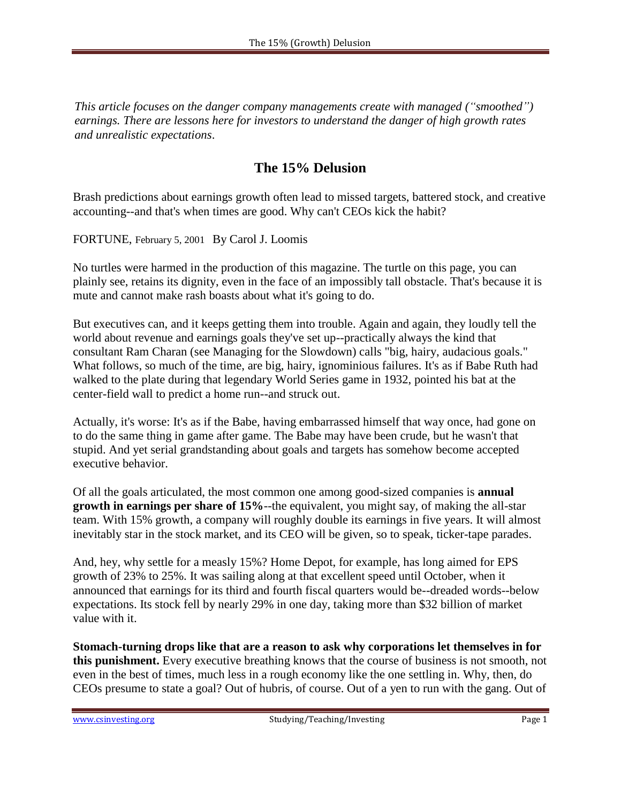*This article focuses on the danger company managements create with managed ("smoothed") earnings. There are lessons here for investors to understand the danger of high growth rates and unrealistic expectations*.

# **The 15% Delusion**

Brash predictions about earnings growth often lead to missed targets, battered stock, and creative accounting--and that's when times are good. Why can't CEOs kick the habit?

FORTUNE, February 5, 2001 By Carol J. Loomis

No turtles were harmed in the production of this magazine. The turtle on this page, you can plainly see, retains its dignity, even in the face of an impossibly tall obstacle. That's because it is mute and cannot make rash boasts about what it's going to do.

But executives can, and it keeps getting them into trouble. Again and again, they loudly tell the world about revenue and earnings goals they've set up--practically always the kind that consultant Ram Charan (see Managing for the Slowdown) calls "big, hairy, audacious goals." What follows, so much of the time, are big, hairy, ignominious failures. It's as if Babe Ruth had walked to the plate during that legendary World Series game in 1932, pointed his bat at the center-field wall to predict a home run--and struck out.

Actually, it's worse: It's as if the Babe, having embarrassed himself that way once, had gone on to do the same thing in game after game. The Babe may have been crude, but he wasn't that stupid. And yet serial grandstanding about goals and targets has somehow become accepted executive behavior.

Of all the goals articulated, the most common one among good-sized companies is **annual growth in earnings per share of 15%**--the equivalent, you might say, of making the all-star team. With 15% growth, a company will roughly double its earnings in five years. It will almost inevitably star in the stock market, and its CEO will be given, so to speak, ticker-tape parades.

And, hey, why settle for a measly 15%? Home Depot, for example, has long aimed for EPS growth of 23% to 25%. It was sailing along at that excellent speed until October, when it announced that earnings for its third and fourth fiscal quarters would be--dreaded words--below expectations. Its stock fell by nearly 29% in one day, taking more than \$32 billion of market value with it.

**Stomach-turning drops like that are a reason to ask why corporations let themselves in for this punishment.** Every executive breathing knows that the course of business is not smooth, not even in the best of times, much less in a rough economy like the one settling in. Why, then, do CEOs presume to state a goal? Out of hubris, of course. Out of a yen to run with the gang. Out of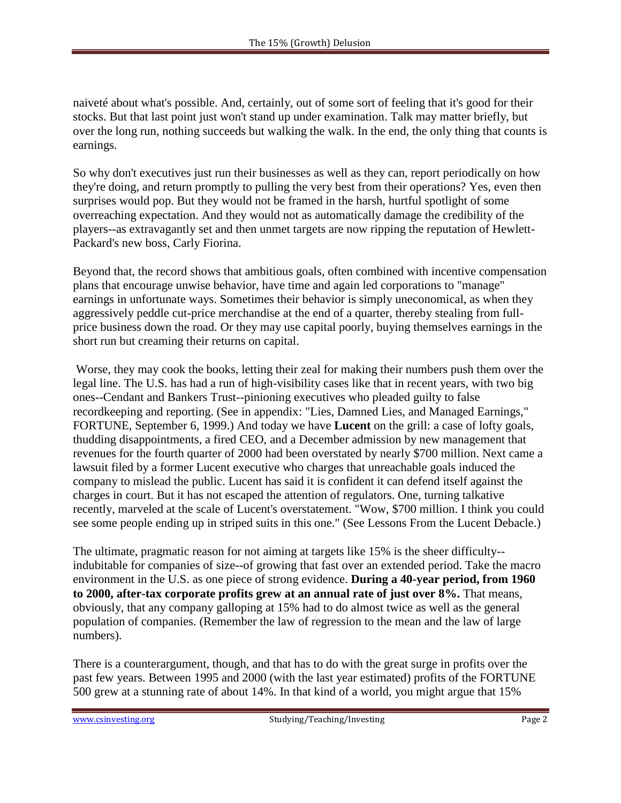naiveté about what's possible. And, certainly, out of some sort of feeling that it's good for their stocks. But that last point just won't stand up under examination. Talk may matter briefly, but over the long run, nothing succeeds but walking the walk. In the end, the only thing that counts is earnings.

So why don't executives just run their businesses as well as they can, report periodically on how they're doing, and return promptly to pulling the very best from their operations? Yes, even then surprises would pop. But they would not be framed in the harsh, hurtful spotlight of some overreaching expectation. And they would not as automatically damage the credibility of the players--as extravagantly set and then unmet targets are now ripping the reputation of Hewlett-Packard's new boss, Carly Fiorina.

Beyond that, the record shows that ambitious goals, often combined with incentive compensation plans that encourage unwise behavior, have time and again led corporations to "manage" earnings in unfortunate ways. Sometimes their behavior is simply uneconomical, as when they aggressively peddle cut-price merchandise at the end of a quarter, thereby stealing from fullprice business down the road. Or they may use capital poorly, buying themselves earnings in the short run but creaming their returns on capital.

Worse, they may cook the books, letting their zeal for making their numbers push them over the legal line. The U.S. has had a run of high-visibility cases like that in recent years, with two big ones--Cendant and Bankers Trust--pinioning executives who pleaded guilty to false recordkeeping and reporting. (See in appendix: "Lies, Damned Lies, and Managed Earnings," FORTUNE, September 6, 1999.) And today we have **Lucent** on the grill: a case of lofty goals, thudding disappointments, a fired CEO, and a December admission by new management that revenues for the fourth quarter of 2000 had been overstated by nearly \$700 million. Next came a lawsuit filed by a former Lucent executive who charges that unreachable goals induced the company to mislead the public. Lucent has said it is confident it can defend itself against the charges in court. But it has not escaped the attention of regulators. One, turning talkative recently, marveled at the scale of Lucent's overstatement. "Wow, \$700 million. I think you could see some people ending up in striped suits in this one." (See Lessons From the Lucent Debacle.)

The ultimate, pragmatic reason for not aiming at targets like 15% is the sheer difficulty- indubitable for companies of size--of growing that fast over an extended period. Take the macro environment in the U.S. as one piece of strong evidence. **During a 40-year period, from 1960 to 2000, after-tax corporate profits grew at an annual rate of just over 8%.** That means, obviously, that any company galloping at 15% had to do almost twice as well as the general population of companies. (Remember the law of regression to the mean and the law of large numbers).

There is a counterargument, though, and that has to do with the great surge in profits over the past few years. Between 1995 and 2000 (with the last year estimated) profits of the FORTUNE 500 grew at a stunning rate of about 14%. In that kind of a world, you might argue that 15%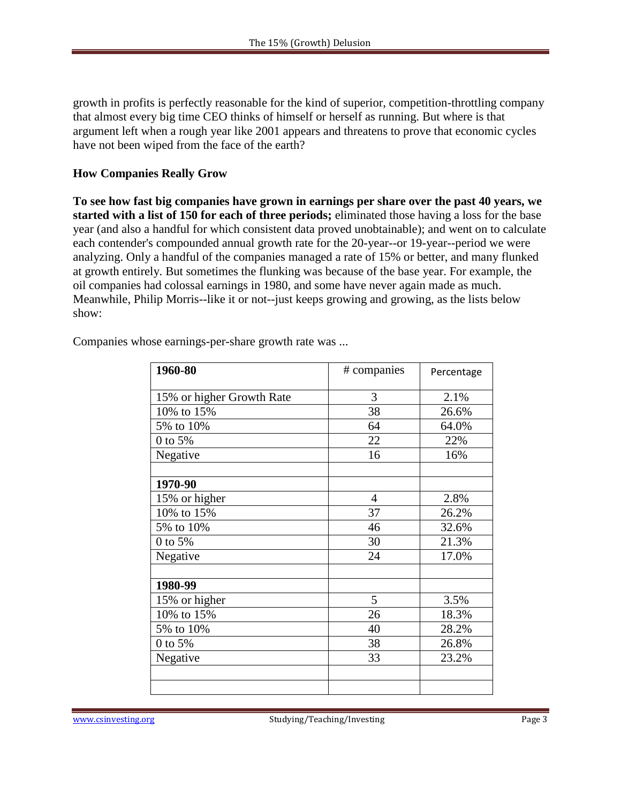growth in profits is perfectly reasonable for the kind of superior, competition-throttling company that almost every big time CEO thinks of himself or herself as running. But where is that argument left when a rough year like 2001 appears and threatens to prove that economic cycles have not been wiped from the face of the earth?

## **How Companies Really Grow**

**To see how fast big companies have grown in earnings per share over the past 40 years, we started with a list of 150 for each of three periods;** eliminated those having a loss for the base year (and also a handful for which consistent data proved unobtainable); and went on to calculate each contender's compounded annual growth rate for the 20-year--or 19-year--period we were analyzing. Only a handful of the companies managed a rate of 15% or better, and many flunked at growth entirely. But sometimes the flunking was because of the base year. For example, the oil companies had colossal earnings in 1980, and some have never again made as much. Meanwhile, Philip Morris--like it or not--just keeps growing and growing, as the lists below show:

| 1960-80                   | # companies | Percentage |
|---------------------------|-------------|------------|
| 15% or higher Growth Rate | 3           | 2.1%       |
| 10% to 15%                | 38          | 26.6%      |
| 5% to 10%                 | 64          | 64.0%      |
| $0$ to 5%                 | 22          | 22%        |
| Negative                  | 16          | 16%        |
|                           |             |            |
| 1970-90                   |             |            |
| 15% or higher             | 4           | 2.8%       |
| 10% to 15%                | 37          | 26.2%      |
| 5% to 10%                 | 46          | 32.6%      |
| $0$ to 5%                 | 30          | 21.3%      |
| Negative                  | 24          | 17.0%      |
|                           |             |            |
| 1980-99                   |             |            |
| 15% or higher             | 5           | 3.5%       |
| 10% to 15%                | 26          | 18.3%      |
| 5% to 10%                 | 40          | 28.2%      |
| $0$ to 5%                 | 38          | 26.8%      |
| Negative                  | 33          | 23.2%      |
|                           |             |            |
|                           |             |            |

Companies whose earnings-per-share growth rate was ...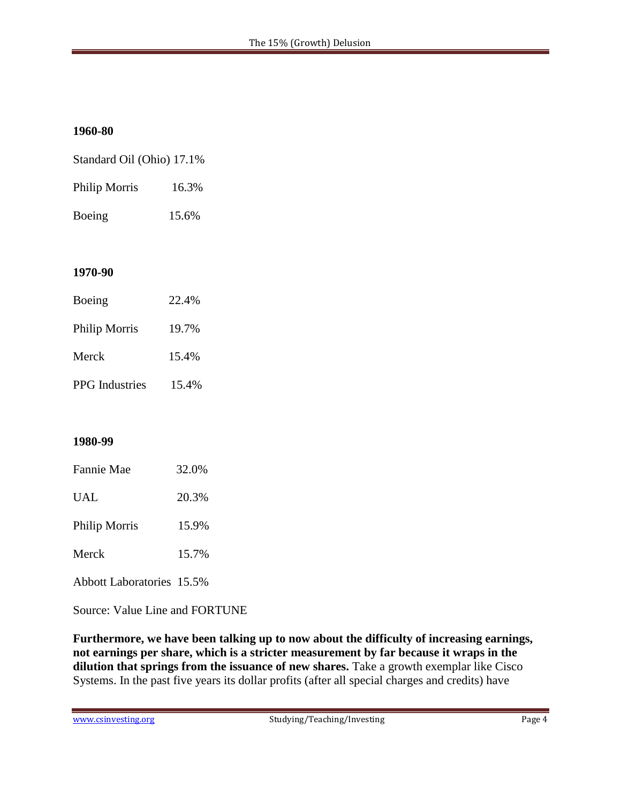#### **1960-80**

| Standard Oil (Ohio) 17.1% |  |  |
|---------------------------|--|--|
|---------------------------|--|--|

| Philip Morris |  |  | 16.3% |  |
|---------------|--|--|-------|--|
|---------------|--|--|-------|--|

Boeing 15.6%

## **1970-90**

| Boeing                | 22.4% |
|-----------------------|-------|
| Philip Morris         | 19.7% |
| Merck                 | 15.4% |
| <b>PPG</b> Industries | 15.4% |

## **1980-99**

| Fannie Mae    | 32.0% |
|---------------|-------|
| UAL           | 20.3% |
| Philip Morris | 15.9% |
| Merck         | 15.7% |

Abbott Laboratories 15.5%

Source: Value Line and FORTUNE

**Furthermore, we have been talking up to now about the difficulty of increasing earnings, not earnings per share, which is a stricter measurement by far because it wraps in the dilution that springs from the issuance of new shares.** Take a growth exemplar like Cisco Systems. In the past five years its dollar profits (after all special charges and credits) have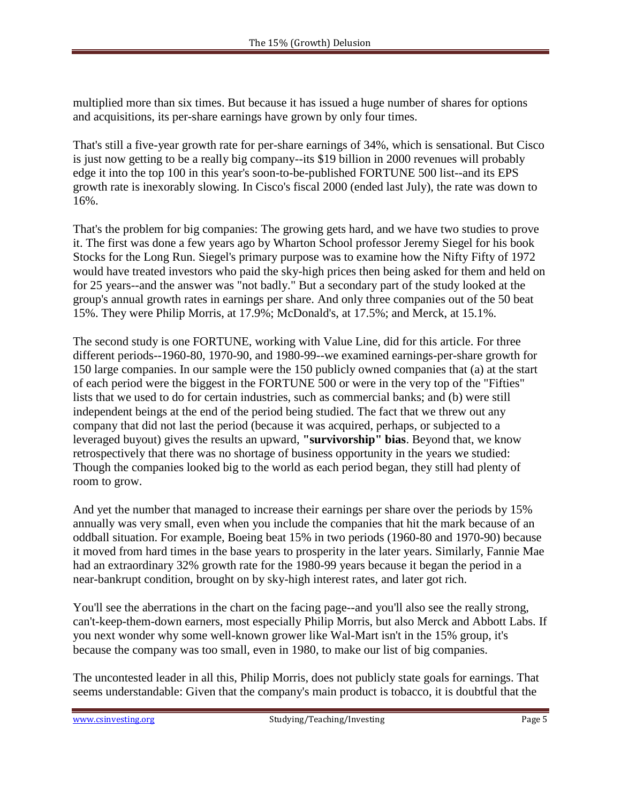multiplied more than six times. But because it has issued a huge number of shares for options and acquisitions, its per-share earnings have grown by only four times.

That's still a five-year growth rate for per-share earnings of 34%, which is sensational. But Cisco is just now getting to be a really big company--its \$19 billion in 2000 revenues will probably edge it into the top 100 in this year's soon-to-be-published FORTUNE 500 list--and its EPS growth rate is inexorably slowing. In Cisco's fiscal 2000 (ended last July), the rate was down to 16%.

That's the problem for big companies: The growing gets hard, and we have two studies to prove it. The first was done a few years ago by Wharton School professor Jeremy Siegel for his book Stocks for the Long Run. Siegel's primary purpose was to examine how the Nifty Fifty of 1972 would have treated investors who paid the sky-high prices then being asked for them and held on for 25 years--and the answer was "not badly." But a secondary part of the study looked at the group's annual growth rates in earnings per share. And only three companies out of the 50 beat 15%. They were Philip Morris, at 17.9%; McDonald's, at 17.5%; and Merck, at 15.1%.

The second study is one FORTUNE, working with Value Line, did for this article. For three different periods--1960-80, 1970-90, and 1980-99--we examined earnings-per-share growth for 150 large companies. In our sample were the 150 publicly owned companies that (a) at the start of each period were the biggest in the FORTUNE 500 or were in the very top of the "Fifties" lists that we used to do for certain industries, such as commercial banks; and (b) were still independent beings at the end of the period being studied. The fact that we threw out any company that did not last the period (because it was acquired, perhaps, or subjected to a leveraged buyout) gives the results an upward, **"survivorship" bias**. Beyond that, we know retrospectively that there was no shortage of business opportunity in the years we studied: Though the companies looked big to the world as each period began, they still had plenty of room to grow.

And yet the number that managed to increase their earnings per share over the periods by 15% annually was very small, even when you include the companies that hit the mark because of an oddball situation. For example, Boeing beat 15% in two periods (1960-80 and 1970-90) because it moved from hard times in the base years to prosperity in the later years. Similarly, Fannie Mae had an extraordinary 32% growth rate for the 1980-99 years because it began the period in a near-bankrupt condition, brought on by sky-high interest rates, and later got rich.

You'll see the aberrations in the chart on the facing page--and you'll also see the really strong, can't-keep-them-down earners, most especially Philip Morris, but also Merck and Abbott Labs. If you next wonder why some well-known grower like Wal-Mart isn't in the 15% group, it's because the company was too small, even in 1980, to make our list of big companies.

The uncontested leader in all this, Philip Morris, does not publicly state goals for earnings. That seems understandable: Given that the company's main product is tobacco, it is doubtful that the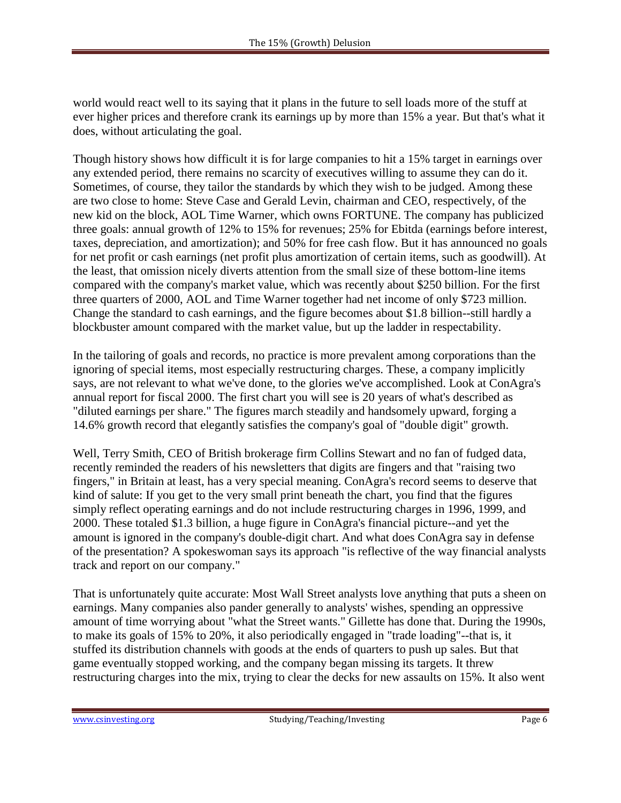world would react well to its saying that it plans in the future to sell loads more of the stuff at ever higher prices and therefore crank its earnings up by more than 15% a year. But that's what it does, without articulating the goal.

Though history shows how difficult it is for large companies to hit a 15% target in earnings over any extended period, there remains no scarcity of executives willing to assume they can do it. Sometimes, of course, they tailor the standards by which they wish to be judged. Among these are two close to home: Steve Case and Gerald Levin, chairman and CEO, respectively, of the new kid on the block, AOL Time Warner, which owns FORTUNE. The company has publicized three goals: annual growth of 12% to 15% for revenues; 25% for Ebitda (earnings before interest, taxes, depreciation, and amortization); and 50% for free cash flow. But it has announced no goals for net profit or cash earnings (net profit plus amortization of certain items, such as goodwill). At the least, that omission nicely diverts attention from the small size of these bottom-line items compared with the company's market value, which was recently about \$250 billion. For the first three quarters of 2000, AOL and Time Warner together had net income of only \$723 million. Change the standard to cash earnings, and the figure becomes about \$1.8 billion--still hardly a blockbuster amount compared with the market value, but up the ladder in respectability.

In the tailoring of goals and records, no practice is more prevalent among corporations than the ignoring of special items, most especially restructuring charges. These, a company implicitly says, are not relevant to what we've done, to the glories we've accomplished. Look at ConAgra's annual report for fiscal 2000. The first chart you will see is 20 years of what's described as "diluted earnings per share." The figures march steadily and handsomely upward, forging a 14.6% growth record that elegantly satisfies the company's goal of "double digit" growth.

Well, Terry Smith, CEO of British brokerage firm Collins Stewart and no fan of fudged data, recently reminded the readers of his newsletters that digits are fingers and that "raising two fingers," in Britain at least, has a very special meaning. ConAgra's record seems to deserve that kind of salute: If you get to the very small print beneath the chart, you find that the figures simply reflect operating earnings and do not include restructuring charges in 1996, 1999, and 2000. These totaled \$1.3 billion, a huge figure in ConAgra's financial picture--and yet the amount is ignored in the company's double-digit chart. And what does ConAgra say in defense of the presentation? A spokeswoman says its approach "is reflective of the way financial analysts track and report on our company."

That is unfortunately quite accurate: Most Wall Street analysts love anything that puts a sheen on earnings. Many companies also pander generally to analysts' wishes, spending an oppressive amount of time worrying about "what the Street wants." Gillette has done that. During the 1990s, to make its goals of 15% to 20%, it also periodically engaged in "trade loading"--that is, it stuffed its distribution channels with goods at the ends of quarters to push up sales. But that game eventually stopped working, and the company began missing its targets. It threw restructuring charges into the mix, trying to clear the decks for new assaults on 15%. It also went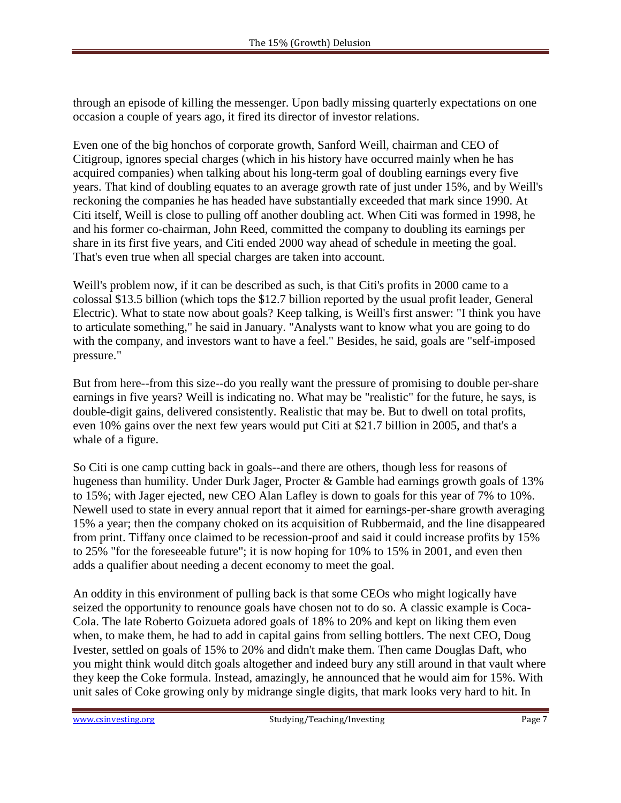through an episode of killing the messenger. Upon badly missing quarterly expectations on one occasion a couple of years ago, it fired its director of investor relations.

Even one of the big honchos of corporate growth, Sanford Weill, chairman and CEO of Citigroup, ignores special charges (which in his history have occurred mainly when he has acquired companies) when talking about his long-term goal of doubling earnings every five years. That kind of doubling equates to an average growth rate of just under 15%, and by Weill's reckoning the companies he has headed have substantially exceeded that mark since 1990. At Citi itself, Weill is close to pulling off another doubling act. When Citi was formed in 1998, he and his former co-chairman, John Reed, committed the company to doubling its earnings per share in its first five years, and Citi ended 2000 way ahead of schedule in meeting the goal. That's even true when all special charges are taken into account.

Weill's problem now, if it can be described as such, is that Citi's profits in 2000 came to a colossal \$13.5 billion (which tops the \$12.7 billion reported by the usual profit leader, General Electric). What to state now about goals? Keep talking, is Weill's first answer: "I think you have to articulate something," he said in January. "Analysts want to know what you are going to do with the company, and investors want to have a feel." Besides, he said, goals are "self-imposed pressure."

But from here--from this size--do you really want the pressure of promising to double per-share earnings in five years? Weill is indicating no. What may be "realistic" for the future, he says, is double-digit gains, delivered consistently. Realistic that may be. But to dwell on total profits, even 10% gains over the next few years would put Citi at \$21.7 billion in 2005, and that's a whale of a figure.

So Citi is one camp cutting back in goals--and there are others, though less for reasons of hugeness than humility. Under Durk Jager, Procter & Gamble had earnings growth goals of 13% to 15%; with Jager ejected, new CEO Alan Lafley is down to goals for this year of 7% to 10%. Newell used to state in every annual report that it aimed for earnings-per-share growth averaging 15% a year; then the company choked on its acquisition of Rubbermaid, and the line disappeared from print. Tiffany once claimed to be recession-proof and said it could increase profits by 15% to 25% "for the foreseeable future"; it is now hoping for 10% to 15% in 2001, and even then adds a qualifier about needing a decent economy to meet the goal.

An oddity in this environment of pulling back is that some CEOs who might logically have seized the opportunity to renounce goals have chosen not to do so. A classic example is Coca-Cola. The late Roberto Goizueta adored goals of 18% to 20% and kept on liking them even when, to make them, he had to add in capital gains from selling bottlers. The next CEO, Doug Ivester, settled on goals of 15% to 20% and didn't make them. Then came Douglas Daft, who you might think would ditch goals altogether and indeed bury any still around in that vault where they keep the Coke formula. Instead, amazingly, he announced that he would aim for 15%. With unit sales of Coke growing only by midrange single digits, that mark looks very hard to hit. In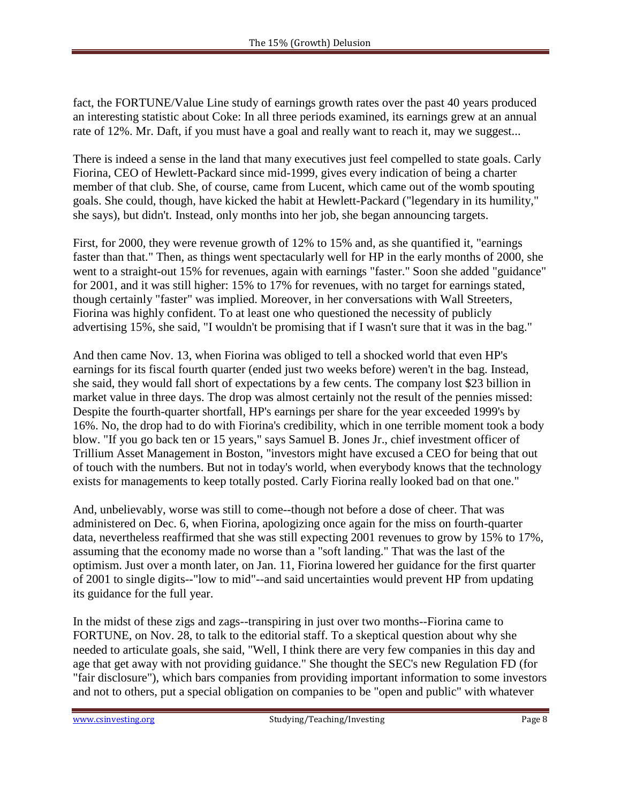fact, the FORTUNE/Value Line study of earnings growth rates over the past 40 years produced an interesting statistic about Coke: In all three periods examined, its earnings grew at an annual rate of 12%. Mr. Daft, if you must have a goal and really want to reach it, may we suggest...

There is indeed a sense in the land that many executives just feel compelled to state goals. Carly Fiorina, CEO of Hewlett-Packard since mid-1999, gives every indication of being a charter member of that club. She, of course, came from Lucent, which came out of the womb spouting goals. She could, though, have kicked the habit at Hewlett-Packard ("legendary in its humility," she says), but didn't. Instead, only months into her job, she began announcing targets.

First, for 2000, they were revenue growth of 12% to 15% and, as she quantified it, "earnings faster than that." Then, as things went spectacularly well for HP in the early months of 2000, she went to a straight-out 15% for revenues, again with earnings "faster." Soon she added "guidance" for 2001, and it was still higher: 15% to 17% for revenues, with no target for earnings stated, though certainly "faster" was implied. Moreover, in her conversations with Wall Streeters, Fiorina was highly confident. To at least one who questioned the necessity of publicly advertising 15%, she said, "I wouldn't be promising that if I wasn't sure that it was in the bag."

And then came Nov. 13, when Fiorina was obliged to tell a shocked world that even HP's earnings for its fiscal fourth quarter (ended just two weeks before) weren't in the bag. Instead, she said, they would fall short of expectations by a few cents. The company lost \$23 billion in market value in three days. The drop was almost certainly not the result of the pennies missed: Despite the fourth-quarter shortfall, HP's earnings per share for the year exceeded 1999's by 16%. No, the drop had to do with Fiorina's credibility, which in one terrible moment took a body blow. "If you go back ten or 15 years," says Samuel B. Jones Jr., chief investment officer of Trillium Asset Management in Boston, "investors might have excused a CEO for being that out of touch with the numbers. But not in today's world, when everybody knows that the technology exists for managements to keep totally posted. Carly Fiorina really looked bad on that one."

And, unbelievably, worse was still to come--though not before a dose of cheer. That was administered on Dec. 6, when Fiorina, apologizing once again for the miss on fourth-quarter data, nevertheless reaffirmed that she was still expecting 2001 revenues to grow by 15% to 17%, assuming that the economy made no worse than a "soft landing." That was the last of the optimism. Just over a month later, on Jan. 11, Fiorina lowered her guidance for the first quarter of 2001 to single digits--"low to mid"--and said uncertainties would prevent HP from updating its guidance for the full year.

In the midst of these zigs and zags--transpiring in just over two months--Fiorina came to FORTUNE, on Nov. 28, to talk to the editorial staff. To a skeptical question about why she needed to articulate goals, she said, "Well, I think there are very few companies in this day and age that get away with not providing guidance." She thought the SEC's new Regulation FD (for "fair disclosure"), which bars companies from providing important information to some investors and not to others, put a special obligation on companies to be "open and public" with whatever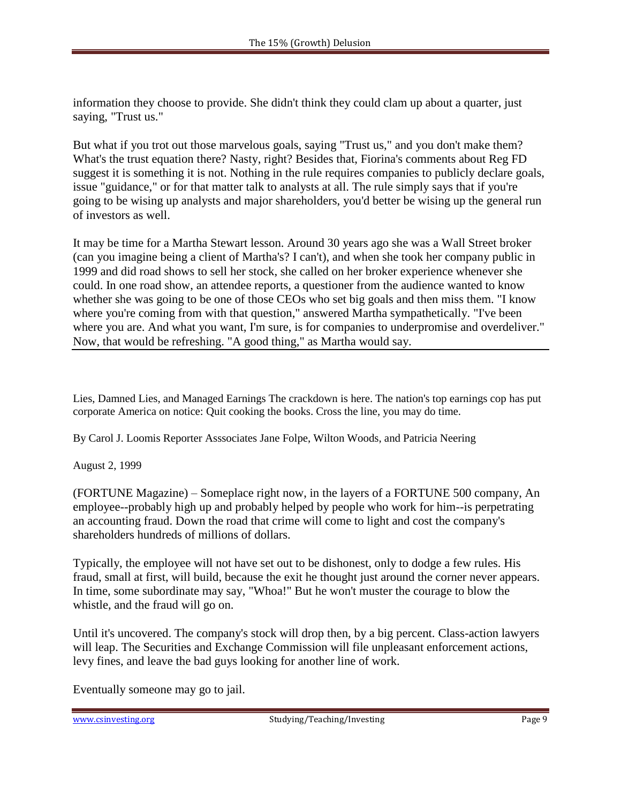information they choose to provide. She didn't think they could clam up about a quarter, just saying, "Trust us."

But what if you trot out those marvelous goals, saying "Trust us," and you don't make them? What's the trust equation there? Nasty, right? Besides that, Fiorina's comments about Reg FD suggest it is something it is not. Nothing in the rule requires companies to publicly declare goals, issue "guidance," or for that matter talk to analysts at all. The rule simply says that if you're going to be wising up analysts and major shareholders, you'd better be wising up the general run of investors as well.

It may be time for a Martha Stewart lesson. Around 30 years ago she was a Wall Street broker (can you imagine being a client of Martha's? I can't), and when she took her company public in 1999 and did road shows to sell her stock, she called on her broker experience whenever she could. In one road show, an attendee reports, a questioner from the audience wanted to know whether she was going to be one of those CEOs who set big goals and then miss them. "I know where you're coming from with that question," answered Martha sympathetically. "I've been where you are. And what you want, I'm sure, is for companies to underpromise and overdeliver." Now, that would be refreshing. "A good thing," as Martha would say.

Lies, Damned Lies, and Managed Earnings The crackdown is here. The nation's top earnings cop has put corporate America on notice: Quit cooking the books. Cross the line, you may do time.

By Carol J. Loomis Reporter Asssociates Jane Folpe, Wilton Woods, and Patricia Neering

August 2, 1999

(FORTUNE Magazine) – Someplace right now, in the layers of a FORTUNE 500 company, An employee--probably high up and probably helped by people who work for him--is perpetrating an accounting fraud. Down the road that crime will come to light and cost the company's shareholders hundreds of millions of dollars.

Typically, the employee will not have set out to be dishonest, only to dodge a few rules. His fraud, small at first, will build, because the exit he thought just around the corner never appears. In time, some subordinate may say, "Whoa!" But he won't muster the courage to blow the whistle, and the fraud will go on.

Until it's uncovered. The company's stock will drop then, by a big percent. Class-action lawyers will leap. The Securities and Exchange Commission will file unpleasant enforcement actions, levy fines, and leave the bad guys looking for another line of work.

Eventually someone may go to jail.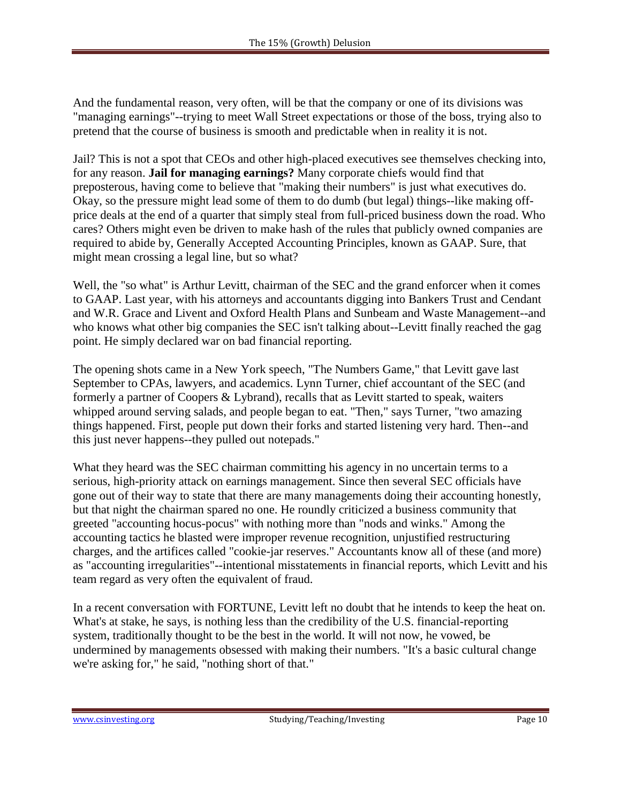And the fundamental reason, very often, will be that the company or one of its divisions was "managing earnings"--trying to meet Wall Street expectations or those of the boss, trying also to pretend that the course of business is smooth and predictable when in reality it is not.

Jail? This is not a spot that CEOs and other high-placed executives see themselves checking into, for any reason. **Jail for managing earnings?** Many corporate chiefs would find that preposterous, having come to believe that "making their numbers" is just what executives do. Okay, so the pressure might lead some of them to do dumb (but legal) things--like making offprice deals at the end of a quarter that simply steal from full-priced business down the road. Who cares? Others might even be driven to make hash of the rules that publicly owned companies are required to abide by, Generally Accepted Accounting Principles, known as GAAP. Sure, that might mean crossing a legal line, but so what?

Well, the "so what" is Arthur Levitt, chairman of the SEC and the grand enforcer when it comes to GAAP. Last year, with his attorneys and accountants digging into Bankers Trust and Cendant and W.R. Grace and Livent and Oxford Health Plans and Sunbeam and Waste Management--and who knows what other big companies the SEC isn't talking about--Levitt finally reached the gag point. He simply declared war on bad financial reporting.

The opening shots came in a New York speech, "The Numbers Game," that Levitt gave last September to CPAs, lawyers, and academics. Lynn Turner, chief accountant of the SEC (and formerly a partner of Coopers & Lybrand), recalls that as Levitt started to speak, waiters whipped around serving salads, and people began to eat. "Then," says Turner, "two amazing things happened. First, people put down their forks and started listening very hard. Then--and this just never happens--they pulled out notepads."

What they heard was the SEC chairman committing his agency in no uncertain terms to a serious, high-priority attack on earnings management. Since then several SEC officials have gone out of their way to state that there are many managements doing their accounting honestly, but that night the chairman spared no one. He roundly criticized a business community that greeted "accounting hocus-pocus" with nothing more than "nods and winks." Among the accounting tactics he blasted were improper revenue recognition, unjustified restructuring charges, and the artifices called "cookie-jar reserves." Accountants know all of these (and more) as "accounting irregularities"--intentional misstatements in financial reports, which Levitt and his team regard as very often the equivalent of fraud.

In a recent conversation with FORTUNE, Levitt left no doubt that he intends to keep the heat on. What's at stake, he says, is nothing less than the credibility of the U.S. financial-reporting system, traditionally thought to be the best in the world. It will not now, he vowed, be undermined by managements obsessed with making their numbers. "It's a basic cultural change we're asking for," he said, "nothing short of that."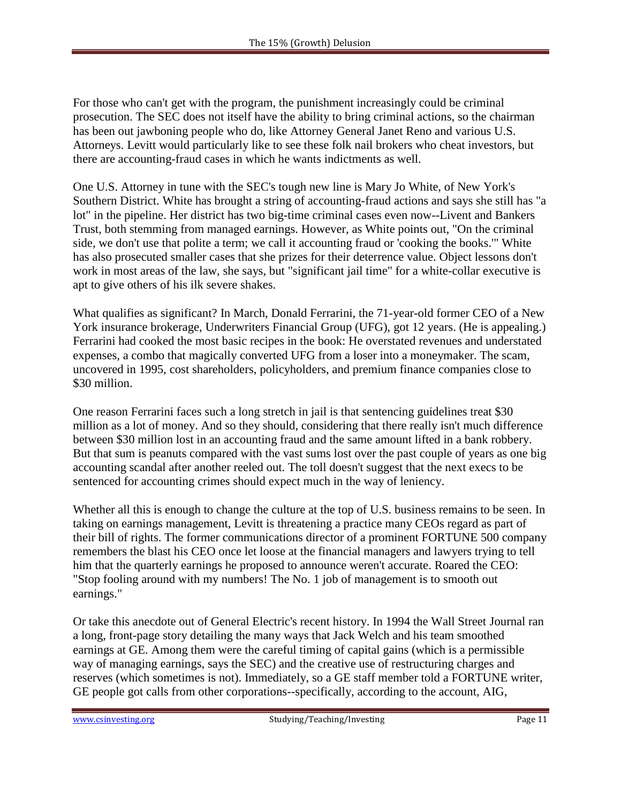For those who can't get with the program, the punishment increasingly could be criminal prosecution. The SEC does not itself have the ability to bring criminal actions, so the chairman has been out jawboning people who do, like Attorney General Janet Reno and various U.S. Attorneys. Levitt would particularly like to see these folk nail brokers who cheat investors, but there are accounting-fraud cases in which he wants indictments as well.

One U.S. Attorney in tune with the SEC's tough new line is Mary Jo White, of New York's Southern District. White has brought a string of accounting-fraud actions and says she still has "a lot" in the pipeline. Her district has two big-time criminal cases even now--Livent and Bankers Trust, both stemming from managed earnings. However, as White points out, "On the criminal side, we don't use that polite a term; we call it accounting fraud or 'cooking the books.'" White has also prosecuted smaller cases that she prizes for their deterrence value. Object lessons don't work in most areas of the law, she says, but "significant jail time" for a white-collar executive is apt to give others of his ilk severe shakes.

What qualifies as significant? In March, Donald Ferrarini, the 71-year-old former CEO of a New York insurance brokerage, Underwriters Financial Group (UFG), got 12 years. (He is appealing.) Ferrarini had cooked the most basic recipes in the book: He overstated revenues and understated expenses, a combo that magically converted UFG from a loser into a moneymaker. The scam, uncovered in 1995, cost shareholders, policyholders, and premium finance companies close to \$30 million.

One reason Ferrarini faces such a long stretch in jail is that sentencing guidelines treat \$30 million as a lot of money. And so they should, considering that there really isn't much difference between \$30 million lost in an accounting fraud and the same amount lifted in a bank robbery. But that sum is peanuts compared with the vast sums lost over the past couple of years as one big accounting scandal after another reeled out. The toll doesn't suggest that the next execs to be sentenced for accounting crimes should expect much in the way of leniency.

Whether all this is enough to change the culture at the top of U.S. business remains to be seen. In taking on earnings management, Levitt is threatening a practice many CEOs regard as part of their bill of rights. The former communications director of a prominent FORTUNE 500 company remembers the blast his CEO once let loose at the financial managers and lawyers trying to tell him that the quarterly earnings he proposed to announce weren't accurate. Roared the CEO: "Stop fooling around with my numbers! The No. 1 job of management is to smooth out earnings."

Or take this anecdote out of General Electric's recent history. In 1994 the Wall Street Journal ran a long, front-page story detailing the many ways that Jack Welch and his team smoothed earnings at GE. Among them were the careful timing of capital gains (which is a permissible way of managing earnings, says the SEC) and the creative use of restructuring charges and reserves (which sometimes is not). Immediately, so a GE staff member told a FORTUNE writer, GE people got calls from other corporations--specifically, according to the account, AIG,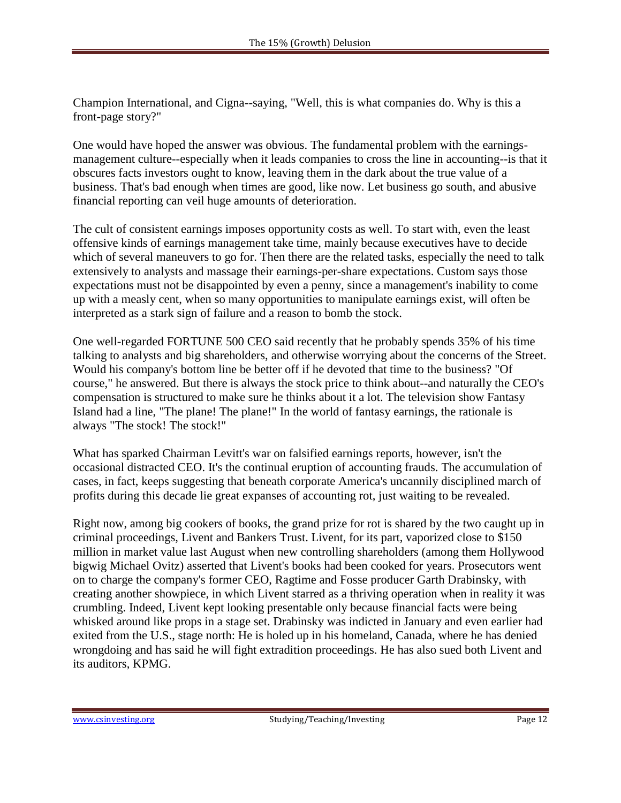Champion International, and Cigna--saying, "Well, this is what companies do. Why is this a front-page story?"

One would have hoped the answer was obvious. The fundamental problem with the earningsmanagement culture--especially when it leads companies to cross the line in accounting--is that it obscures facts investors ought to know, leaving them in the dark about the true value of a business. That's bad enough when times are good, like now. Let business go south, and abusive financial reporting can veil huge amounts of deterioration.

The cult of consistent earnings imposes opportunity costs as well. To start with, even the least offensive kinds of earnings management take time, mainly because executives have to decide which of several maneuvers to go for. Then there are the related tasks, especially the need to talk extensively to analysts and massage their earnings-per-share expectations. Custom says those expectations must not be disappointed by even a penny, since a management's inability to come up with a measly cent, when so many opportunities to manipulate earnings exist, will often be interpreted as a stark sign of failure and a reason to bomb the stock.

One well-regarded FORTUNE 500 CEO said recently that he probably spends 35% of his time talking to analysts and big shareholders, and otherwise worrying about the concerns of the Street. Would his company's bottom line be better off if he devoted that time to the business? "Of course," he answered. But there is always the stock price to think about--and naturally the CEO's compensation is structured to make sure he thinks about it a lot. The television show Fantasy Island had a line, "The plane! The plane!" In the world of fantasy earnings, the rationale is always "The stock! The stock!"

What has sparked Chairman Levitt's war on falsified earnings reports, however, isn't the occasional distracted CEO. It's the continual eruption of accounting frauds. The accumulation of cases, in fact, keeps suggesting that beneath corporate America's uncannily disciplined march of profits during this decade lie great expanses of accounting rot, just waiting to be revealed.

Right now, among big cookers of books, the grand prize for rot is shared by the two caught up in criminal proceedings, Livent and Bankers Trust. Livent, for its part, vaporized close to \$150 million in market value last August when new controlling shareholders (among them Hollywood bigwig Michael Ovitz) asserted that Livent's books had been cooked for years. Prosecutors went on to charge the company's former CEO, Ragtime and Fosse producer Garth Drabinsky, with creating another showpiece, in which Livent starred as a thriving operation when in reality it was crumbling. Indeed, Livent kept looking presentable only because financial facts were being whisked around like props in a stage set. Drabinsky was indicted in January and even earlier had exited from the U.S., stage north: He is holed up in his homeland, Canada, where he has denied wrongdoing and has said he will fight extradition proceedings. He has also sued both Livent and its auditors, KPMG.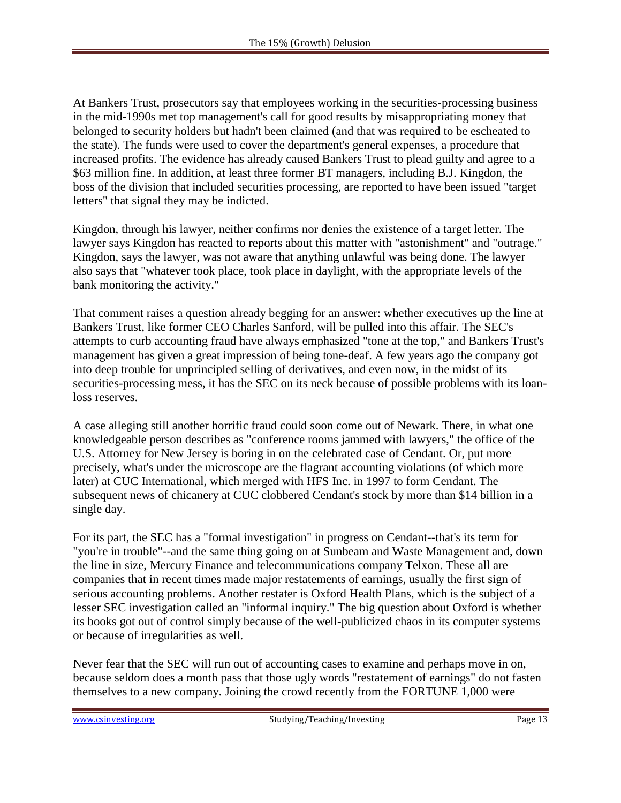At Bankers Trust, prosecutors say that employees working in the securities-processing business in the mid-1990s met top management's call for good results by misappropriating money that belonged to security holders but hadn't been claimed (and that was required to be escheated to the state). The funds were used to cover the department's general expenses, a procedure that increased profits. The evidence has already caused Bankers Trust to plead guilty and agree to a \$63 million fine. In addition, at least three former BT managers, including B.J. Kingdon, the boss of the division that included securities processing, are reported to have been issued "target letters" that signal they may be indicted.

Kingdon, through his lawyer, neither confirms nor denies the existence of a target letter. The lawyer says Kingdon has reacted to reports about this matter with "astonishment" and "outrage." Kingdon, says the lawyer, was not aware that anything unlawful was being done. The lawyer also says that "whatever took place, took place in daylight, with the appropriate levels of the bank monitoring the activity."

That comment raises a question already begging for an answer: whether executives up the line at Bankers Trust, like former CEO Charles Sanford, will be pulled into this affair. The SEC's attempts to curb accounting fraud have always emphasized "tone at the top," and Bankers Trust's management has given a great impression of being tone-deaf. A few years ago the company got into deep trouble for unprincipled selling of derivatives, and even now, in the midst of its securities-processing mess, it has the SEC on its neck because of possible problems with its loanloss reserves.

A case alleging still another horrific fraud could soon come out of Newark. There, in what one knowledgeable person describes as "conference rooms jammed with lawyers," the office of the U.S. Attorney for New Jersey is boring in on the celebrated case of Cendant. Or, put more precisely, what's under the microscope are the flagrant accounting violations (of which more later) at CUC International, which merged with HFS Inc. in 1997 to form Cendant. The subsequent news of chicanery at CUC clobbered Cendant's stock by more than \$14 billion in a single day.

For its part, the SEC has a "formal investigation" in progress on Cendant--that's its term for "you're in trouble"--and the same thing going on at Sunbeam and Waste Management and, down the line in size, Mercury Finance and telecommunications company Telxon. These all are companies that in recent times made major restatements of earnings, usually the first sign of serious accounting problems. Another restater is Oxford Health Plans, which is the subject of a lesser SEC investigation called an "informal inquiry." The big question about Oxford is whether its books got out of control simply because of the well-publicized chaos in its computer systems or because of irregularities as well.

Never fear that the SEC will run out of accounting cases to examine and perhaps move in on, because seldom does a month pass that those ugly words "restatement of earnings" do not fasten themselves to a new company. Joining the crowd recently from the FORTUNE 1,000 were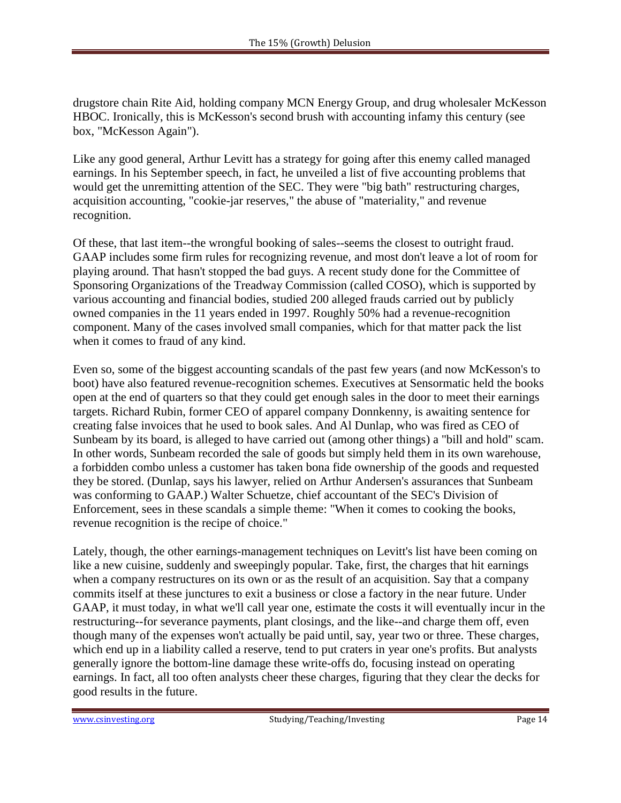drugstore chain Rite Aid, holding company MCN Energy Group, and drug wholesaler McKesson HBOC. Ironically, this is McKesson's second brush with accounting infamy this century (see box, "McKesson Again").

Like any good general, Arthur Levitt has a strategy for going after this enemy called managed earnings. In his September speech, in fact, he unveiled a list of five accounting problems that would get the unremitting attention of the SEC. They were "big bath" restructuring charges, acquisition accounting, "cookie-jar reserves," the abuse of "materiality," and revenue recognition.

Of these, that last item--the wrongful booking of sales--seems the closest to outright fraud. GAAP includes some firm rules for recognizing revenue, and most don't leave a lot of room for playing around. That hasn't stopped the bad guys. A recent study done for the Committee of Sponsoring Organizations of the Treadway Commission (called COSO), which is supported by various accounting and financial bodies, studied 200 alleged frauds carried out by publicly owned companies in the 11 years ended in 1997. Roughly 50% had a revenue-recognition component. Many of the cases involved small companies, which for that matter pack the list when it comes to fraud of any kind.

Even so, some of the biggest accounting scandals of the past few years (and now McKesson's to boot) have also featured revenue-recognition schemes. Executives at Sensormatic held the books open at the end of quarters so that they could get enough sales in the door to meet their earnings targets. Richard Rubin, former CEO of apparel company Donnkenny, is awaiting sentence for creating false invoices that he used to book sales. And Al Dunlap, who was fired as CEO of Sunbeam by its board, is alleged to have carried out (among other things) a "bill and hold" scam. In other words, Sunbeam recorded the sale of goods but simply held them in its own warehouse, a forbidden combo unless a customer has taken bona fide ownership of the goods and requested they be stored. (Dunlap, says his lawyer, relied on Arthur Andersen's assurances that Sunbeam was conforming to GAAP.) Walter Schuetze, chief accountant of the SEC's Division of Enforcement, sees in these scandals a simple theme: "When it comes to cooking the books, revenue recognition is the recipe of choice."

Lately, though, the other earnings-management techniques on Levitt's list have been coming on like a new cuisine, suddenly and sweepingly popular. Take, first, the charges that hit earnings when a company restructures on its own or as the result of an acquisition. Say that a company commits itself at these junctures to exit a business or close a factory in the near future. Under GAAP, it must today, in what we'll call year one, estimate the costs it will eventually incur in the restructuring--for severance payments, plant closings, and the like--and charge them off, even though many of the expenses won't actually be paid until, say, year two or three. These charges, which end up in a liability called a reserve, tend to put craters in year one's profits. But analysts generally ignore the bottom-line damage these write-offs do, focusing instead on operating earnings. In fact, all too often analysts cheer these charges, figuring that they clear the decks for good results in the future.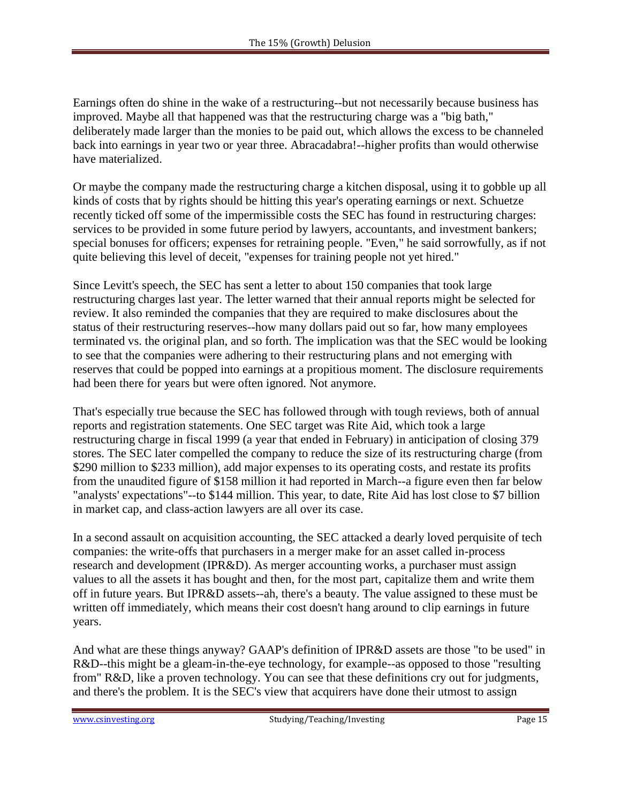Earnings often do shine in the wake of a restructuring--but not necessarily because business has improved. Maybe all that happened was that the restructuring charge was a "big bath," deliberately made larger than the monies to be paid out, which allows the excess to be channeled back into earnings in year two or year three. Abracadabra!--higher profits than would otherwise have materialized.

Or maybe the company made the restructuring charge a kitchen disposal, using it to gobble up all kinds of costs that by rights should be hitting this year's operating earnings or next. Schuetze recently ticked off some of the impermissible costs the SEC has found in restructuring charges: services to be provided in some future period by lawyers, accountants, and investment bankers; special bonuses for officers; expenses for retraining people. "Even," he said sorrowfully, as if not quite believing this level of deceit, "expenses for training people not yet hired."

Since Levitt's speech, the SEC has sent a letter to about 150 companies that took large restructuring charges last year. The letter warned that their annual reports might be selected for review. It also reminded the companies that they are required to make disclosures about the status of their restructuring reserves--how many dollars paid out so far, how many employees terminated vs. the original plan, and so forth. The implication was that the SEC would be looking to see that the companies were adhering to their restructuring plans and not emerging with reserves that could be popped into earnings at a propitious moment. The disclosure requirements had been there for years but were often ignored. Not anymore.

That's especially true because the SEC has followed through with tough reviews, both of annual reports and registration statements. One SEC target was Rite Aid, which took a large restructuring charge in fiscal 1999 (a year that ended in February) in anticipation of closing 379 stores. The SEC later compelled the company to reduce the size of its restructuring charge (from \$290 million to \$233 million), add major expenses to its operating costs, and restate its profits from the unaudited figure of \$158 million it had reported in March--a figure even then far below "analysts' expectations"--to \$144 million. This year, to date, Rite Aid has lost close to \$7 billion in market cap, and class-action lawyers are all over its case.

In a second assault on acquisition accounting, the SEC attacked a dearly loved perquisite of tech companies: the write-offs that purchasers in a merger make for an asset called in-process research and development (IPR&D). As merger accounting works, a purchaser must assign values to all the assets it has bought and then, for the most part, capitalize them and write them off in future years. But IPR&D assets--ah, there's a beauty. The value assigned to these must be written off immediately, which means their cost doesn't hang around to clip earnings in future years.

And what are these things anyway? GAAP's definition of IPR&D assets are those "to be used" in R&D--this might be a gleam-in-the-eye technology, for example--as opposed to those "resulting from" R&D, like a proven technology. You can see that these definitions cry out for judgments, and there's the problem. It is the SEC's view that acquirers have done their utmost to assign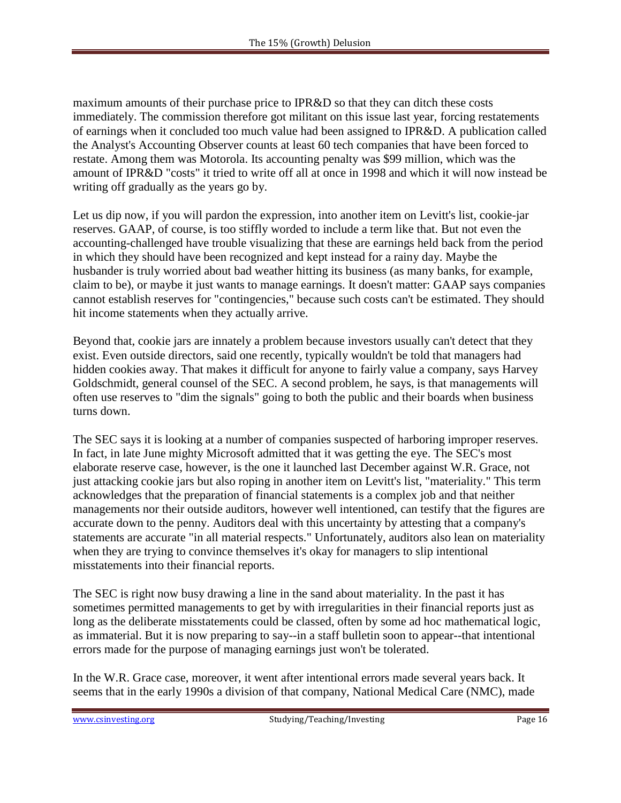maximum amounts of their purchase price to IPR&D so that they can ditch these costs immediately. The commission therefore got militant on this issue last year, forcing restatements of earnings when it concluded too much value had been assigned to IPR&D. A publication called the Analyst's Accounting Observer counts at least 60 tech companies that have been forced to restate. Among them was Motorola. Its accounting penalty was \$99 million, which was the amount of IPR&D "costs" it tried to write off all at once in 1998 and which it will now instead be writing off gradually as the years go by.

Let us dip now, if you will pardon the expression, into another item on Levitt's list, cookie-jar reserves. GAAP, of course, is too stiffly worded to include a term like that. But not even the accounting-challenged have trouble visualizing that these are earnings held back from the period in which they should have been recognized and kept instead for a rainy day. Maybe the husbander is truly worried about bad weather hitting its business (as many banks, for example, claim to be), or maybe it just wants to manage earnings. It doesn't matter: GAAP says companies cannot establish reserves for "contingencies," because such costs can't be estimated. They should hit income statements when they actually arrive.

Beyond that, cookie jars are innately a problem because investors usually can't detect that they exist. Even outside directors, said one recently, typically wouldn't be told that managers had hidden cookies away. That makes it difficult for anyone to fairly value a company, says Harvey Goldschmidt, general counsel of the SEC. A second problem, he says, is that managements will often use reserves to "dim the signals" going to both the public and their boards when business turns down.

The SEC says it is looking at a number of companies suspected of harboring improper reserves. In fact, in late June mighty Microsoft admitted that it was getting the eye. The SEC's most elaborate reserve case, however, is the one it launched last December against W.R. Grace, not just attacking cookie jars but also roping in another item on Levitt's list, "materiality." This term acknowledges that the preparation of financial statements is a complex job and that neither managements nor their outside auditors, however well intentioned, can testify that the figures are accurate down to the penny. Auditors deal with this uncertainty by attesting that a company's statements are accurate "in all material respects." Unfortunately, auditors also lean on materiality when they are trying to convince themselves it's okay for managers to slip intentional misstatements into their financial reports.

The SEC is right now busy drawing a line in the sand about materiality. In the past it has sometimes permitted managements to get by with irregularities in their financial reports just as long as the deliberate misstatements could be classed, often by some ad hoc mathematical logic, as immaterial. But it is now preparing to say--in a staff bulletin soon to appear--that intentional errors made for the purpose of managing earnings just won't be tolerated.

In the W.R. Grace case, moreover, it went after intentional errors made several years back. It seems that in the early 1990s a division of that company, National Medical Care (NMC), made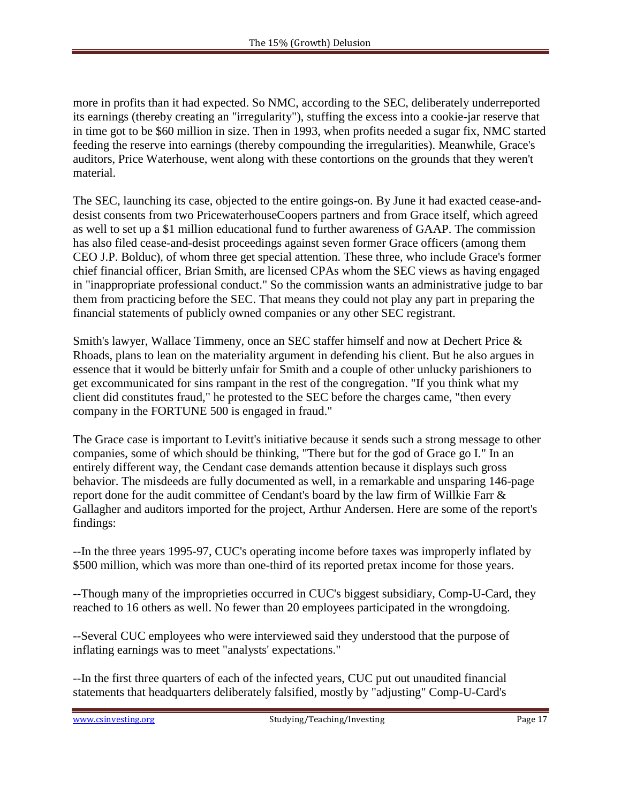more in profits than it had expected. So NMC, according to the SEC, deliberately underreported its earnings (thereby creating an "irregularity"), stuffing the excess into a cookie-jar reserve that in time got to be \$60 million in size. Then in 1993, when profits needed a sugar fix, NMC started feeding the reserve into earnings (thereby compounding the irregularities). Meanwhile, Grace's auditors, Price Waterhouse, went along with these contortions on the grounds that they weren't material.

The SEC, launching its case, objected to the entire goings-on. By June it had exacted cease-anddesist consents from two PricewaterhouseCoopers partners and from Grace itself, which agreed as well to set up a \$1 million educational fund to further awareness of GAAP. The commission has also filed cease-and-desist proceedings against seven former Grace officers (among them CEO J.P. Bolduc), of whom three get special attention. These three, who include Grace's former chief financial officer, Brian Smith, are licensed CPAs whom the SEC views as having engaged in "inappropriate professional conduct." So the commission wants an administrative judge to bar them from practicing before the SEC. That means they could not play any part in preparing the financial statements of publicly owned companies or any other SEC registrant.

Smith's lawyer, Wallace Timmeny, once an SEC staffer himself and now at Dechert Price & Rhoads, plans to lean on the materiality argument in defending his client. But he also argues in essence that it would be bitterly unfair for Smith and a couple of other unlucky parishioners to get excommunicated for sins rampant in the rest of the congregation. "If you think what my client did constitutes fraud," he protested to the SEC before the charges came, "then every company in the FORTUNE 500 is engaged in fraud."

The Grace case is important to Levitt's initiative because it sends such a strong message to other companies, some of which should be thinking, "There but for the god of Grace go I." In an entirely different way, the Cendant case demands attention because it displays such gross behavior. The misdeeds are fully documented as well, in a remarkable and unsparing 146-page report done for the audit committee of Cendant's board by the law firm of Willkie Farr & Gallagher and auditors imported for the project, Arthur Andersen. Here are some of the report's findings:

--In the three years 1995-97, CUC's operating income before taxes was improperly inflated by \$500 million, which was more than one-third of its reported pretax income for those years.

--Though many of the improprieties occurred in CUC's biggest subsidiary, Comp-U-Card, they reached to 16 others as well. No fewer than 20 employees participated in the wrongdoing.

--Several CUC employees who were interviewed said they understood that the purpose of inflating earnings was to meet "analysts' expectations."

--In the first three quarters of each of the infected years, CUC put out unaudited financial statements that headquarters deliberately falsified, mostly by "adjusting" Comp-U-Card's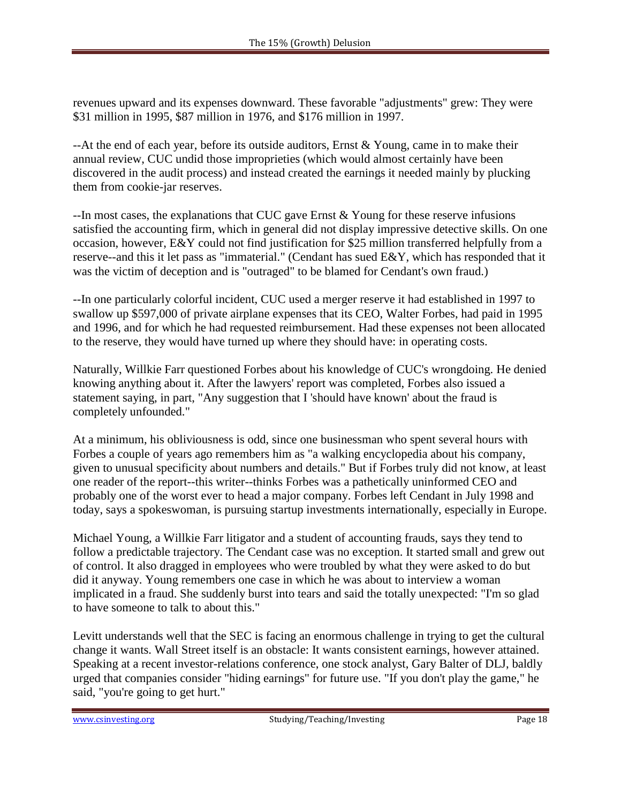revenues upward and its expenses downward. These favorable "adjustments" grew: They were \$31 million in 1995, \$87 million in 1976, and \$176 million in 1997.

--At the end of each year, before its outside auditors, Ernst & Young, came in to make their annual review, CUC undid those improprieties (which would almost certainly have been discovered in the audit process) and instead created the earnings it needed mainly by plucking them from cookie-jar reserves.

--In most cases, the explanations that CUC gave Ernst & Young for these reserve infusions satisfied the accounting firm, which in general did not display impressive detective skills. On one occasion, however, E&Y could not find justification for \$25 million transferred helpfully from a reserve--and this it let pass as "immaterial." (Cendant has sued E&Y, which has responded that it was the victim of deception and is "outraged" to be blamed for Cendant's own fraud.)

--In one particularly colorful incident, CUC used a merger reserve it had established in 1997 to swallow up \$597,000 of private airplane expenses that its CEO, Walter Forbes, had paid in 1995 and 1996, and for which he had requested reimbursement. Had these expenses not been allocated to the reserve, they would have turned up where they should have: in operating costs.

Naturally, Willkie Farr questioned Forbes about his knowledge of CUC's wrongdoing. He denied knowing anything about it. After the lawyers' report was completed, Forbes also issued a statement saying, in part, "Any suggestion that I 'should have known' about the fraud is completely unfounded."

At a minimum, his obliviousness is odd, since one businessman who spent several hours with Forbes a couple of years ago remembers him as "a walking encyclopedia about his company, given to unusual specificity about numbers and details." But if Forbes truly did not know, at least one reader of the report--this writer--thinks Forbes was a pathetically uninformed CEO and probably one of the worst ever to head a major company. Forbes left Cendant in July 1998 and today, says a spokeswoman, is pursuing startup investments internationally, especially in Europe.

Michael Young, a Willkie Farr litigator and a student of accounting frauds, says they tend to follow a predictable trajectory. The Cendant case was no exception. It started small and grew out of control. It also dragged in employees who were troubled by what they were asked to do but did it anyway. Young remembers one case in which he was about to interview a woman implicated in a fraud. She suddenly burst into tears and said the totally unexpected: "I'm so glad to have someone to talk to about this."

Levitt understands well that the SEC is facing an enormous challenge in trying to get the cultural change it wants. Wall Street itself is an obstacle: It wants consistent earnings, however attained. Speaking at a recent investor-relations conference, one stock analyst, Gary Balter of DLJ, baldly urged that companies consider "hiding earnings" for future use. "If you don't play the game," he said, "you're going to get hurt."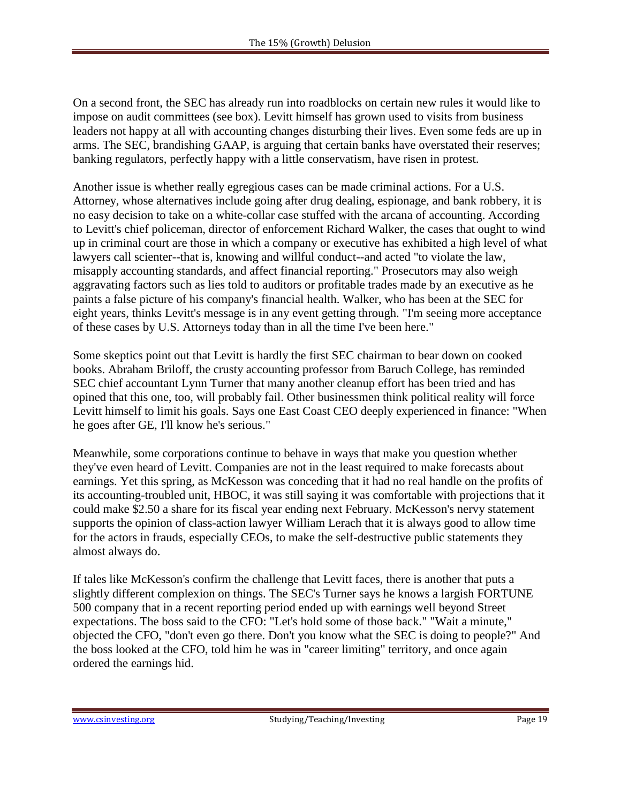On a second front, the SEC has already run into roadblocks on certain new rules it would like to impose on audit committees (see box). Levitt himself has grown used to visits from business leaders not happy at all with accounting changes disturbing their lives. Even some feds are up in arms. The SEC, brandishing GAAP, is arguing that certain banks have overstated their reserves; banking regulators, perfectly happy with a little conservatism, have risen in protest.

Another issue is whether really egregious cases can be made criminal actions. For a U.S. Attorney, whose alternatives include going after drug dealing, espionage, and bank robbery, it is no easy decision to take on a white-collar case stuffed with the arcana of accounting. According to Levitt's chief policeman, director of enforcement Richard Walker, the cases that ought to wind up in criminal court are those in which a company or executive has exhibited a high level of what lawyers call scienter--that is, knowing and willful conduct--and acted "to violate the law, misapply accounting standards, and affect financial reporting." Prosecutors may also weigh aggravating factors such as lies told to auditors or profitable trades made by an executive as he paints a false picture of his company's financial health. Walker, who has been at the SEC for eight years, thinks Levitt's message is in any event getting through. "I'm seeing more acceptance of these cases by U.S. Attorneys today than in all the time I've been here."

Some skeptics point out that Levitt is hardly the first SEC chairman to bear down on cooked books. Abraham Briloff, the crusty accounting professor from Baruch College, has reminded SEC chief accountant Lynn Turner that many another cleanup effort has been tried and has opined that this one, too, will probably fail. Other businessmen think political reality will force Levitt himself to limit his goals. Says one East Coast CEO deeply experienced in finance: "When he goes after GE, I'll know he's serious."

Meanwhile, some corporations continue to behave in ways that make you question whether they've even heard of Levitt. Companies are not in the least required to make forecasts about earnings. Yet this spring, as McKesson was conceding that it had no real handle on the profits of its accounting-troubled unit, HBOC, it was still saying it was comfortable with projections that it could make \$2.50 a share for its fiscal year ending next February. McKesson's nervy statement supports the opinion of class-action lawyer William Lerach that it is always good to allow time for the actors in frauds, especially CEOs, to make the self-destructive public statements they almost always do.

If tales like McKesson's confirm the challenge that Levitt faces, there is another that puts a slightly different complexion on things. The SEC's Turner says he knows a largish FORTUNE 500 company that in a recent reporting period ended up with earnings well beyond Street expectations. The boss said to the CFO: "Let's hold some of those back." "Wait a minute," objected the CFO, "don't even go there. Don't you know what the SEC is doing to people?" And the boss looked at the CFO, told him he was in "career limiting" territory, and once again ordered the earnings hid.